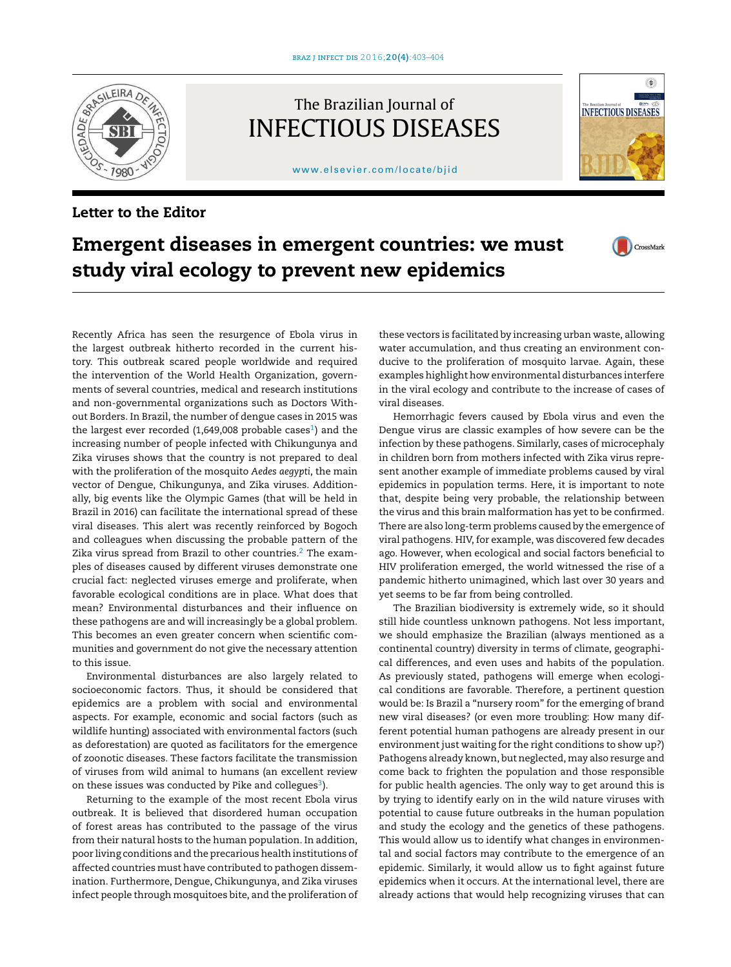

## Letter to the Editor

The Brazilian Journal of INFECTIOUS DISEASES

[www.elsevier.com/locate/bjid](http://www.elsevier.com/locate/bjid)



## Emergent diseases in emergent countries: we must study viral ecology to prevent new epidemics



Recently Africa has seen the resurgence of Ebola virus in the largest outbreak hitherto recorded in the current history. This outbreak scared people worldwide and required the intervention of the World Health Organization, governments of several countries, medical and research institutions and non-governmental organizations such as Doctors Without Borders. In Brazil, the number of dengue cases in 2015 was the largest ever recorded ([1](#page-1-0),649,008 probable cases $^1\!)$  and the increasing number of people infected with Chikungunya and Zika viruses shows that the country is not prepared to deal with the proliferation of the mosquito *Aedes aegypti*, the main vector of Dengue, Chikungunya, and Zika viruses. Additionally, big events like the Olympic Games (that will be held in Brazil in 2016) can facilitate the international spread of these viral diseases. This alert was recently reinforced by Bogoch and colleagues when discussing the probable pattern of the Zika virus spread from Brazil to other countries.<sup>[2](#page-1-0)</sup> The examples of diseases caused by different viruses demonstrate one crucial fact: neglected viruses emerge and proliferate, when favorable ecological conditions are in place. What does that mean? Environmental disturbances and their influence on these pathogens are and will increasingly be a global problem. This becomes an even greater concern when scientific communities and government do not give the necessary attention to this issue.

Environmental disturbances are also largely related to socioeconomic factors. Thus, it should be considered that epidemics are a problem with social and environmental aspects. For example, economic and social factors (such as wildlife hunting) associated with environmental factors (such as deforestation) are quoted as facilitators for the emergence of zoonotic diseases. These factors facilitate the transmission of viruses from wild animal to humans (an excellent review on these issues was conducted by Pike and collegues $^3$ [\).](#page-1-0)

Returning to the example of the most recent Ebola virus outbreak. It is believed that disordered human occupation of forest areas has contributed to the passage of the virus from their natural hosts to the human population. In addition, poor living conditions and the precarious health institutions of affected countries must have contributed to pathogen dissemination. Furthermore, Dengue, Chikungunya, and Zika viruses infect people through mosquitoes bite, and the proliferation of

these vectors is facilitated by increasing urban waste, allowing water accumulation, and thus creating an environment conducive to the proliferation of mosquito larvae. Again, these examples highlight how environmental disturbances interfere in the viral ecology and contribute to the increase of cases of viral diseases.

Hemorrhagic fevers caused by Ebola virus and even the Dengue virus are classic examples of how severe can be the infection by these pathogens. Similarly, cases of microcephaly in children born from mothers infected with Zika virus represent another example of immediate problems caused by viral epidemics in population terms. Here, it is important to note that, despite being very probable, the relationship between the virus and this brain malformation has yet to be confirmed. There are also long-term problems caused by the emergence of viral pathogens. HIV, for example, was discovered few decades ago. However, when ecological and social factors beneficial to HIV proliferation emerged, the world witnessed the rise of a pandemic hitherto unimagined, which last over 30 years and yet seems to be far from being controlled.

The Brazilian biodiversity is extremely wide, so it should still hide countless unknown pathogens. Not less important, we should emphasize the Brazilian (always mentioned as a continental country) diversity in terms of climate, geographical differences, and even uses and habits of the population. As previously stated, pathogens will emerge when ecological conditions are favorable. Therefore, a pertinent question would be: Is Brazil a "nursery room" for the emerging of brand new viral diseases? (or even more troubling: How many different potential human pathogens are already present in our environment just waiting for the right conditions to show up?) Pathogens already known, but neglected, may also resurge and come back to frighten the population and those responsible for public health agencies. The only way to get around this is by trying to identify early on in the wild nature viruses with potential to cause future outbreaks in the human population and study the ecology and the genetics of these pathogens. This would allow us to identify what changes in environmental and social factors may contribute to the emergence of an epidemic. Similarly, it would allow us to fight against future epidemics when it occurs. At the international level, there are already actions that would help recognizing viruses that can